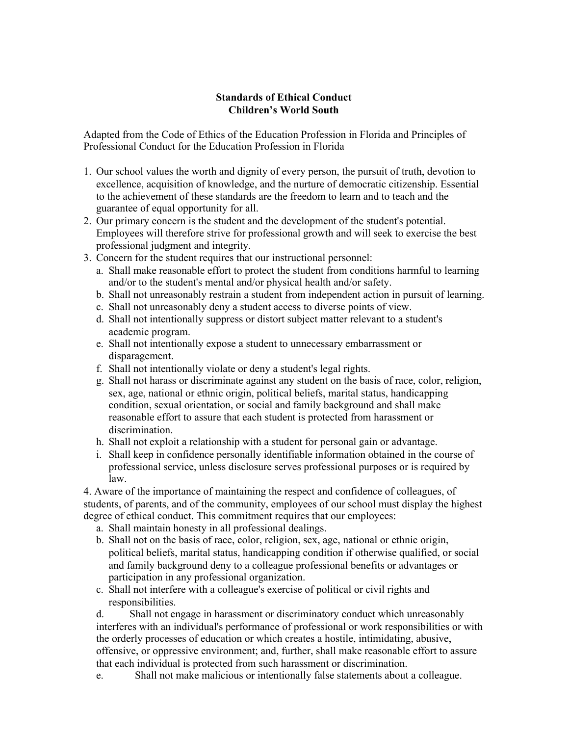## **Standards of Ethical Conduct Children's World South**

Adapted from the Code of Ethics of the Education Profession in Florida and Principles of Professional Conduct for the Education Profession in Florida

- 1. Our school values the worth and dignity of every person, the pursuit of truth, devotion to excellence, acquisition of knowledge, and the nurture of democratic citizenship. Essential to the achievement of these standards are the freedom to learn and to teach and the guarantee of equal opportunity for all.
- 2. Our primary concern is the student and the development of the student's potential. Employees will therefore strive for professional growth and will seek to exercise the best professional judgment and integrity.
- 3. Concern for the student requires that our instructional personnel:
	- a. Shall make reasonable effort to protect the student from conditions harmful to learning and/or to the student's mental and/or physical health and/or safety.
	- b. Shall not unreasonably restrain a student from independent action in pursuit of learning.
	- c. Shall not unreasonably deny a student access to diverse points of view.
	- d. Shall not intentionally suppress or distort subject matter relevant to a student's academic program.
	- e. Shall not intentionally expose a student to unnecessary embarrassment or disparagement.
	- f. Shall not intentionally violate or deny a student's legal rights.
	- g. Shall not harass or discriminate against any student on the basis of race, color, religion, sex, age, national or ethnic origin, political beliefs, marital status, handicapping condition, sexual orientation, or social and family background and shall make reasonable effort to assure that each student is protected from harassment or discrimination.
	- h. Shall not exploit a relationship with a student for personal gain or advantage.
	- i. Shall keep in confidence personally identifiable information obtained in the course of professional service, unless disclosure serves professional purposes or is required by law.

4. Aware of the importance of maintaining the respect and confidence of colleagues, of students, of parents, and of the community, employees of our school must display the highest degree of ethical conduct. This commitment requires that our employees:

- a. Shall maintain honesty in all professional dealings.
- b. Shall not on the basis of race, color, religion, sex, age, national or ethnic origin, political beliefs, marital status, handicapping condition if otherwise qualified, or social and family background deny to a colleague professional benefits or advantages or participation in any professional organization.
- c. Shall not interfere with a colleague's exercise of political or civil rights and responsibilities.

d. Shall not engage in harassment or discriminatory conduct which unreasonably interferes with an individual's performance of professional or work responsibilities or with the orderly processes of education or which creates a hostile, intimidating, abusive, offensive, or oppressive environment; and, further, shall make reasonable effort to assure that each individual is protected from such harassment or discrimination.

e. Shall not make malicious or intentionally false statements about a colleague.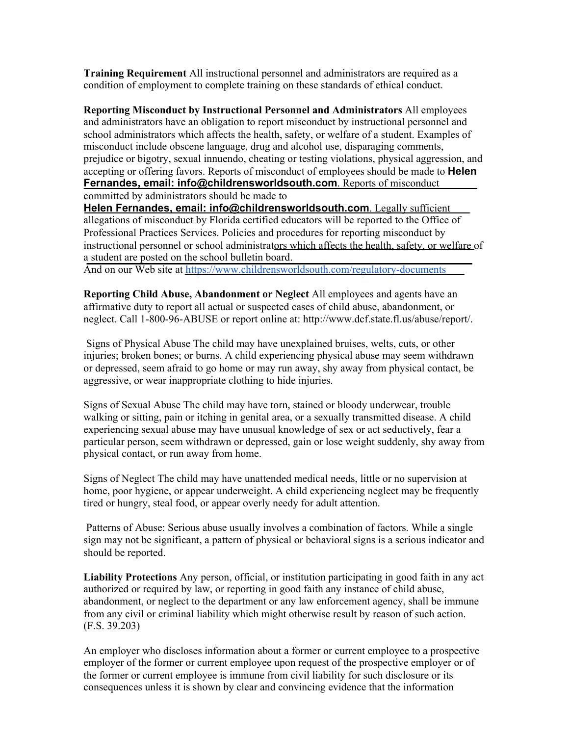**Training Requirement** All instructional personnel and administrators are required as a condition of employment to complete training on these standards of ethical conduct.

**Reporting Misconduct by Instructional Personnel and Administrators** All employees and administrators have an obligation to report misconduct by instructional personnel and school administrators which affects the health, safety, or welfare of a student. Examples of misconduct include obscene language, drug and alcohol use, disparaging comments, prejudice or bigotry, sexual innuendo, cheating or testing violations, physical aggression, and accepting or offering favors. Reports of misconduct of employees should be made to **Helen Fernandes, email: [info@childrensworldsouth.com](mailto:info@childrensworldsouth.com)**. Reports of misconduct committed by administrators should be made to

**Helen Fernandes, email: [info@childrensworldsouth.com](mailto:info@childrensworldsouth.com)**. Legally sufficient allegations of misconduct by Florida certified educators will be reported to the Office of Professional Practices Services. Policies and procedures for reporting misconduct by instructional personnel or school administrators which affects the health, safety, or welfare of a student are posted on the school bulletin board.

And on our Web site at <https://www.childrensworldsouth.com/regulatory-documents>

**Reporting Child Abuse, Abandonment or Neglect** All employees and agents have an affirmative duty to report all actual or suspected cases of child abuse, abandonment, or neglect. Call 1-800-96-ABUSE or report online at: http://www.dcf.state.fl.us/abuse/report/.

Signs of Physical Abuse The child may have unexplained bruises, welts, cuts, or other injuries; broken bones; or burns. A child experiencing physical abuse may seem withdrawn or depressed, seem afraid to go home or may run away, shy away from physical contact, be aggressive, or wear inappropriate clothing to hide injuries.

Signs of Sexual Abuse The child may have torn, stained or bloody underwear, trouble walking or sitting, pain or itching in genital area, or a sexually transmitted disease. A child experiencing sexual abuse may have unusual knowledge of sex or act seductively, fear a particular person, seem withdrawn or depressed, gain or lose weight suddenly, shy away from physical contact, or run away from home.

Signs of Neglect The child may have unattended medical needs, little or no supervision at home, poor hygiene, or appear underweight. A child experiencing neglect may be frequently tired or hungry, steal food, or appear overly needy for adult attention.

Patterns of Abuse: Serious abuse usually involves a combination of factors. While a single sign may not be significant, a pattern of physical or behavioral signs is a serious indicator and should be reported.

**Liability Protections** Any person, official, or institution participating in good faith in any act authorized or required by law, or reporting in good faith any instance of child abuse, abandonment, or neglect to the department or any law enforcement agency, shall be immune from any civil or criminal liability which might otherwise result by reason of such action. (F.S. 39.203)

An employer who discloses information about a former or current employee to a prospective employer of the former or current employee upon request of the prospective employer or of the former or current employee is immune from civil liability for such disclosure or its consequences unless it is shown by clear and convincing evidence that the information